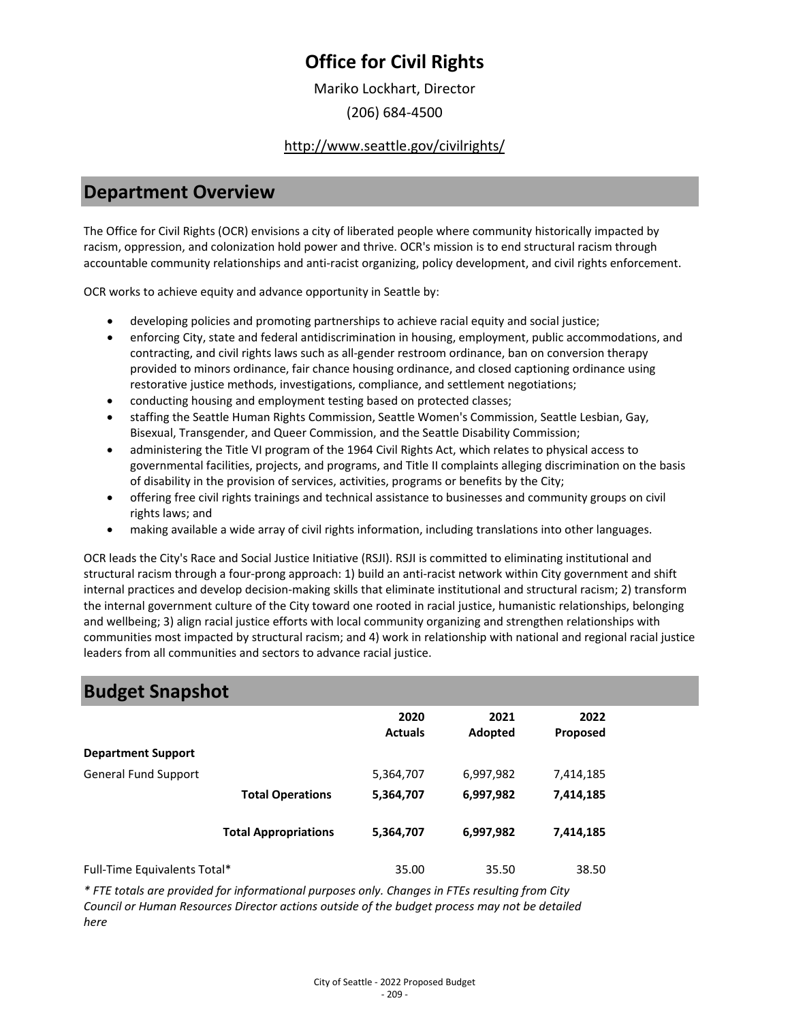Mariko Lockhart, Director

(206) 684-4500

#### <http://www.seattle.gov/civilrights/>

### **Department Overview**

The Office for Civil Rights (OCR) envisions a city of liberated people where community historically impacted by racism, oppression, and colonization hold power and thrive. OCR's mission is to end structural racism through accountable community relationships and anti-racist organizing, policy development, and civil rights enforcement.

OCR works to achieve equity and advance opportunity in Seattle by:

- developing policies and promoting partnerships to achieve racial equity and social justice;
- enforcing City, state and federal antidiscrimination in housing, employment, public accommodations, and contracting, and civil rights laws such as all-gender restroom ordinance, ban on conversion therapy provided to minors ordinance, fair chance housing ordinance, and closed captioning ordinance using restorative justice methods, investigations, compliance, and settlement negotiations;
- conducting housing and employment testing based on protected classes;
- staffing the Seattle Human Rights Commission, Seattle Women's Commission, Seattle Lesbian, Gay, Bisexual, Transgender, and Queer Commission, and the Seattle Disability Commission;
- administering the Title VI program of the 1964 Civil Rights Act, which relates to physical access to governmental facilities, projects, and programs, and Title II complaints alleging discrimination on the basis of disability in the provision of services, activities, programs or benefits by the City;
- offering free civil rights trainings and technical assistance to businesses and community groups on civil rights laws; and
- making available a wide array of civil rights information, including translations into other languages.

OCR leads the City's Race and Social Justice Initiative (RSJI). RSJI is committed to eliminating institutional and structural racism through a four-prong approach: 1) build an anti-racist network within City government and shift internal practices and develop decision-making skills that eliminate institutional and structural racism; 2) transform the internal government culture of the City toward one rooted in racial justice, humanistic relationships, belonging and wellbeing; 3) align racial justice efforts with local community organizing and strengthen relationships with communities most impacted by structural racism; and 4) work in relationship with national and regional racial justice leaders from all communities and sectors to advance racial justice.

### **Budget Snapshot**

|                              |                             | 2020<br><b>Actuals</b> | 2021<br>Adopted | 2022<br>Proposed |  |
|------------------------------|-----------------------------|------------------------|-----------------|------------------|--|
| <b>Department Support</b>    |                             |                        |                 |                  |  |
| <b>General Fund Support</b>  |                             | 5,364,707              | 6,997,982       | 7,414,185        |  |
|                              | <b>Total Operations</b>     | 5,364,707              | 6,997,982       | 7,414,185        |  |
|                              | <b>Total Appropriations</b> | 5,364,707              | 6,997,982       | 7,414,185        |  |
| Full-Time Equivalents Total* |                             | 35.00                  | 35.50           | 38.50            |  |

*\* FTE totals are provided for informational purposes only. Changes in FTEs resulting from City Council or Human Resources Director actions outside of the budget process may not be detailed here*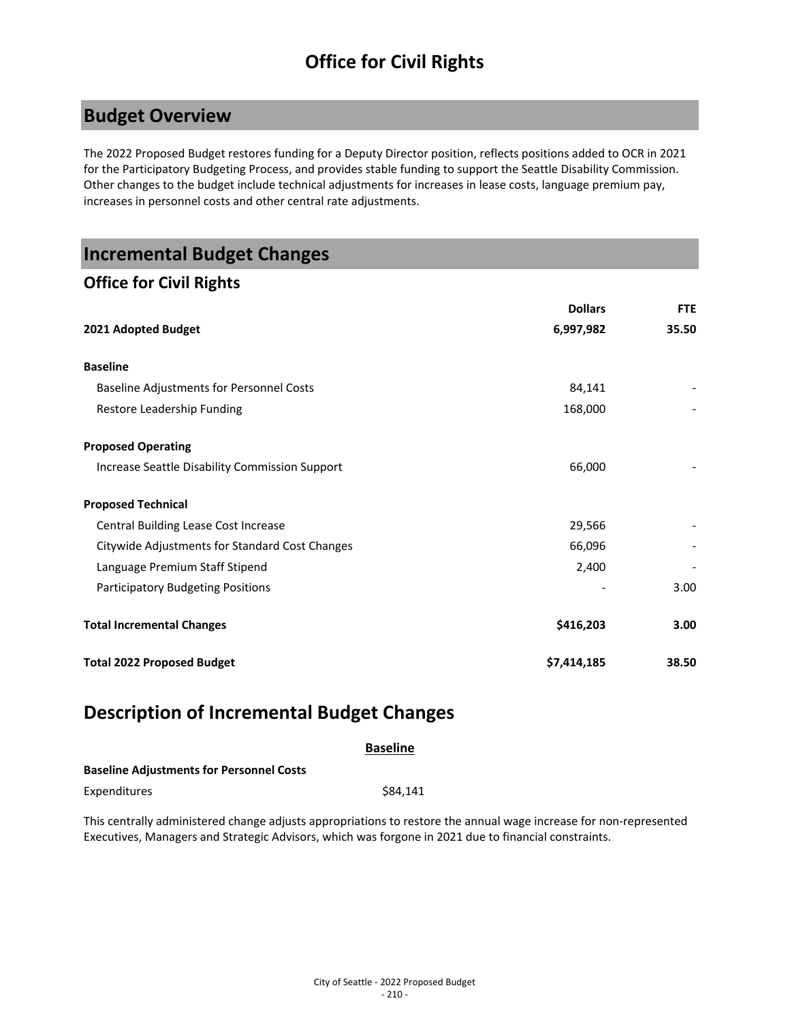### **Budget Overview**

The 2022 Proposed Budget restores funding for a Deputy Director position, reflects positions added to OCR in 2021 for the Participatory Budgeting Process, and provides stable funding to support the Seattle Disability Commission. Other changes to the budget include technical adjustments for increases in lease costs, language premium pay, increases in personnel costs and other central rate adjustments.

### **Incremental Budget Changes**

### **Office for Civil Rights**

|                                                | <b>Dollars</b> | <b>FTE</b> |
|------------------------------------------------|----------------|------------|
| 2021 Adopted Budget                            | 6,997,982      | 35.50      |
| <b>Baseline</b>                                |                |            |
| Baseline Adjustments for Personnel Costs       | 84,141         |            |
| Restore Leadership Funding                     | 168,000        |            |
| <b>Proposed Operating</b>                      |                |            |
| Increase Seattle Disability Commission Support | 66,000         |            |
| <b>Proposed Technical</b>                      |                |            |
| Central Building Lease Cost Increase           | 29,566         |            |
| Citywide Adjustments for Standard Cost Changes | 66,096         |            |
| Language Premium Staff Stipend                 | 2,400          |            |
| <b>Participatory Budgeting Positions</b>       |                | 3.00       |
| <b>Total Incremental Changes</b>               | \$416,203      | 3.00       |
| <b>Total 2022 Proposed Budget</b>              | \$7,414,185    | 38.50      |

### **Description of Incremental Budget Changes**

|                                                 | <b>Baseline</b> |
|-------------------------------------------------|-----------------|
| <b>Baseline Adjustments for Personnel Costs</b> |                 |
| Expenditures                                    | \$84.141        |

This centrally administered change adjusts appropriations to restore the annual wage increase for non-represented Executives, Managers and Strategic Advisors, which was forgone in 2021 due to financial constraints.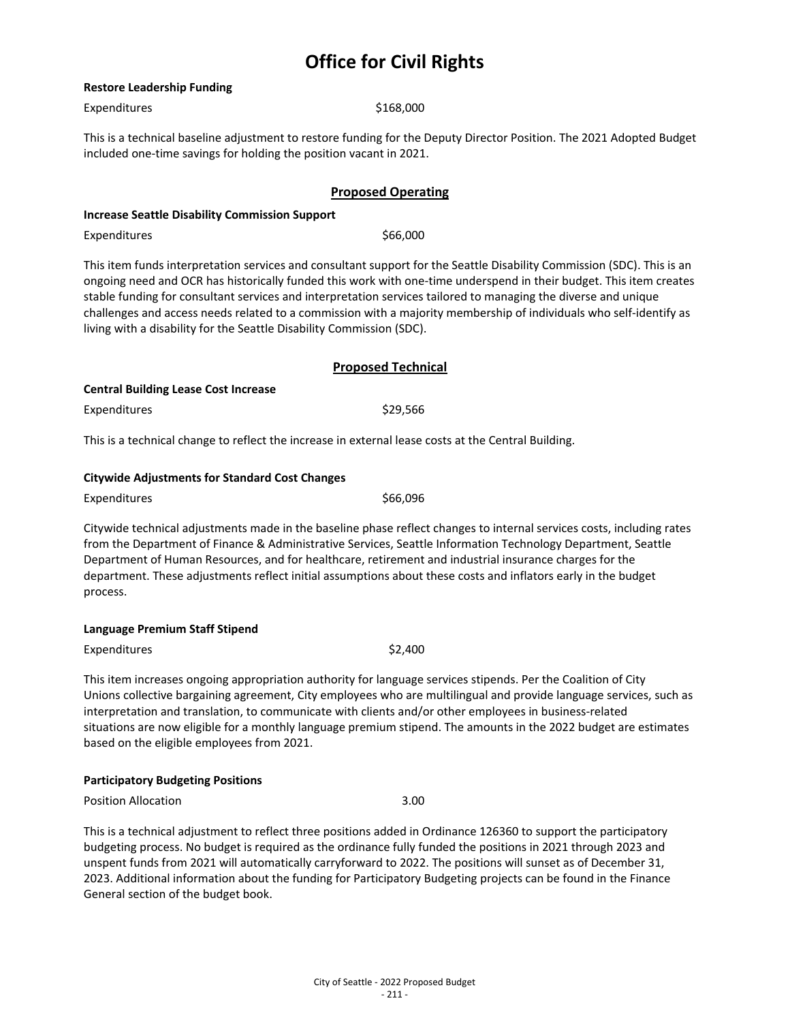#### **Restore Leadership Funding**

Expenditures \$168,000

This is a technical baseline adjustment to restore funding for the Deputy Director Position. The 2021 Adopted Budget included one-time savings for holding the position vacant in 2021.

#### **Proposed Operating**

#### **Increase Seattle Disability Commission Support**

Expenditures \$66,000

This item funds interpretation services and consultant support for the Seattle Disability Commission (SDC). This is an ongoing need and OCR has historically funded this work with one-time underspend in their budget. This item creates stable funding for consultant services and interpretation services tailored to managing the diverse and unique challenges and access needs related to a commission with a majority membership of individuals who self-identify as living with a disability for the Seattle Disability Commission (SDC).

|                                             | <b>Proposed Technical</b> |
|---------------------------------------------|---------------------------|
| <b>Central Building Lease Cost Increase</b> |                           |
| Expenditures                                | \$29.566                  |

This is a technical change to reflect the increase in external lease costs at the Central Building.

#### **Citywide Adjustments for Standard Cost Changes**

Expenditures \$66,096

Citywide technical adjustments made in the baseline phase reflect changes to internal services costs, including rates from the Department of Finance & Administrative Services, Seattle Information Technology Department, Seattle Department of Human Resources, and for healthcare, retirement and industrial insurance charges for the department. These adjustments reflect initial assumptions about these costs and inflators early in the budget process.

#### **Language Premium Staff Stipend**

Expenditures  $\frac{1}{2}$ 

This item increases ongoing appropriation authority for language services stipends. Per the Coalition of City Unions collective bargaining agreement, City employees who are multilingual and provide language services, such as interpretation and translation, to communicate with clients and/or other employees in business-related situations are now eligible for a monthly language premium stipend. The amounts in the 2022 budget are estimates based on the eligible employees from 2021.

#### **Participatory Budgeting Positions**

Position Allocation 3.00

This is a technical adjustment to reflect three positions added in Ordinance 126360 to support the participatory budgeting process. No budget is required as the ordinance fully funded the positions in 2021 through 2023 and unspent funds from 2021 will automatically carryforward to 2022. The positions will sunset as of December 31, 2023. Additional information about the funding for Participatory Budgeting projects can be found in the Finance General section of the budget book.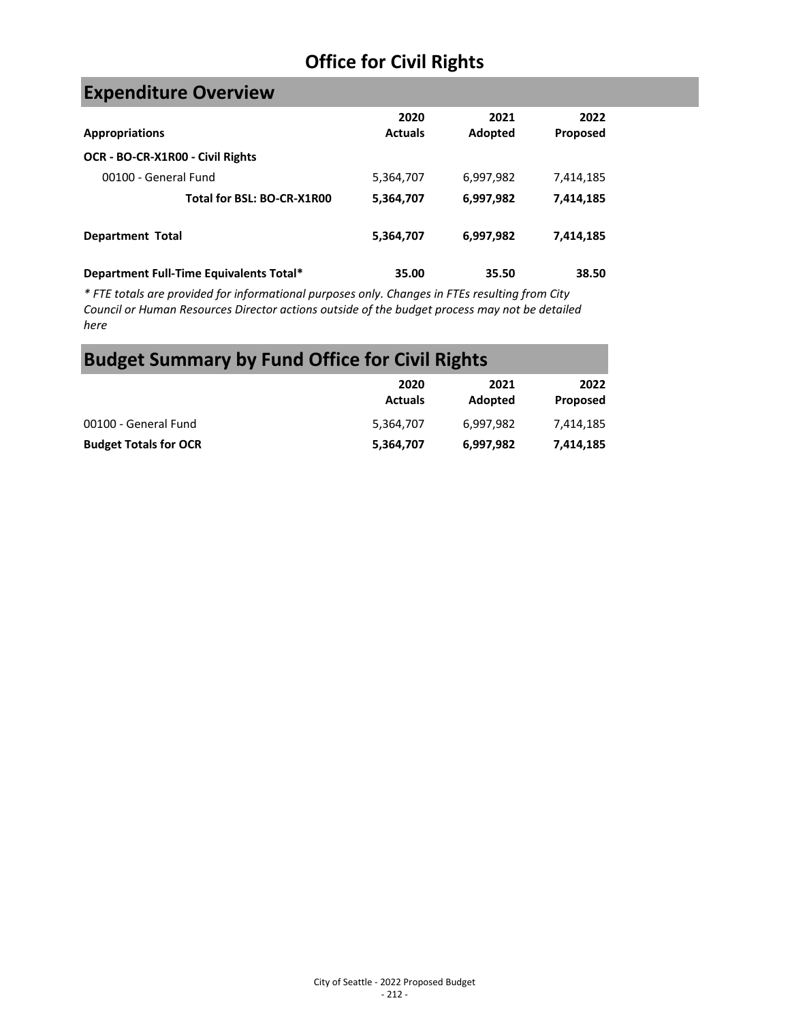# **Expenditure Overview**

| <b>Appropriations</b>                   | 2020<br><b>Actuals</b> | 2021<br>Adopted | 2022<br>Proposed |
|-----------------------------------------|------------------------|-----------------|------------------|
| OCR - BO-CR-X1R00 - Civil Rights        |                        |                 |                  |
| 00100 - General Fund                    | 5,364,707              | 6,997,982       | 7,414,185        |
| Total for BSL: BO-CR-X1R00              | 5,364,707              | 6,997,982       | 7,414,185        |
| <b>Department Total</b>                 | 5,364,707              | 6,997,982       | 7,414,185        |
| Department Full-Time Equivalents Total* | 35.00                  | 35.50           | 38.50            |

*\* FTE totals are provided for informational purposes only. Changes in FTEs resulting from City Council or Human Resources Director actions outside of the budget process may not be detailed here*

# **Budget Summary by Fund Office for Civil Rights**

|                              | 2020<br><b>Actuals</b> | 2021<br>Adopted | 2022<br>Proposed |
|------------------------------|------------------------|-----------------|------------------|
| 00100 - General Fund         | 5,364,707              | 6.997.982       | 7.414.185        |
| <b>Budget Totals for OCR</b> | 5,364,707              | 6,997,982       | 7,414,185        |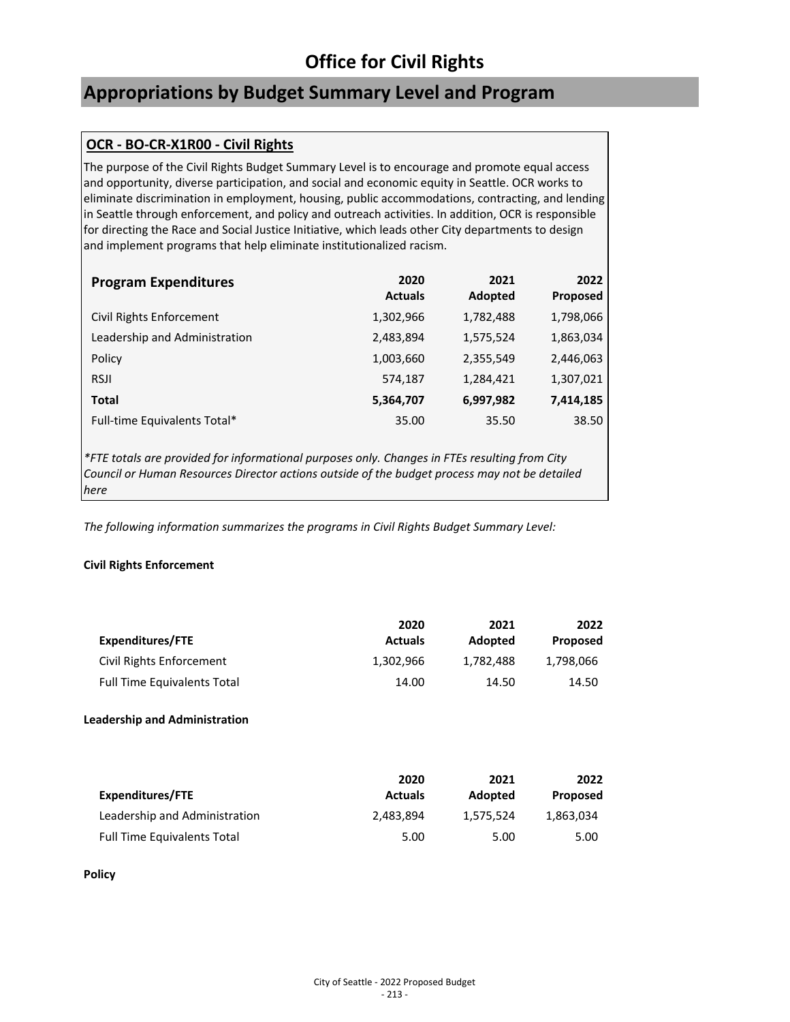## **Appropriations by Budget Summary Level and Program**

#### **OCR - BO-CR-X1R00 - Civil Rights**

The purpose of the Civil Rights Budget Summary Level is to encourage and promote equal access and opportunity, diverse participation, and social and economic equity in Seattle. OCR works to eliminate discrimination in employment, housing, public accommodations, contracting, and lending in Seattle through enforcement, and policy and outreach activities. In addition, OCR is responsible for directing the Race and Social Justice Initiative, which leads other City departments to design and implement programs that help eliminate institutionalized racism.

| <b>Program Expenditures</b>   | 2020<br><b>Actuals</b> | 2021<br>Adopted | 2022<br><b>Proposed</b> |
|-------------------------------|------------------------|-----------------|-------------------------|
| Civil Rights Enforcement      | 1,302,966              | 1,782,488       | 1,798,066               |
| Leadership and Administration | 2,483,894              | 1,575,524       | 1,863,034               |
| Policy                        | 1,003,660              | 2,355,549       | 2,446,063               |
| <b>RSJI</b>                   | 574,187                | 1,284,421       | 1,307,021               |
| <b>Total</b>                  | 5,364,707              | 6,997,982       | 7,414,185               |
| Full-time Equivalents Total*  | 35.00                  | 35.50           | 38.50                   |

*\*FTE totals are provided for informational purposes only. Changes in FTEs resulting from City Council or Human Resources Director actions outside of the budget process may not be detailed here*

*The following information summarizes the programs in Civil Rights Budget Summary Level:*

#### **Civil Rights Enforcement**

| Expenditures/FTE                   | 2020<br><b>Actuals</b> | 2021<br>Adopted | 2022<br>Proposed |
|------------------------------------|------------------------|-----------------|------------------|
| Civil Rights Enforcement           | 1,302,966              | 1,782,488       | 1,798,066        |
| <b>Full Time Equivalents Total</b> | 14.00                  | 14.50           | 14.50            |

#### **Leadership and Administration**

| Expenditures/FTE                   | 2020<br><b>Actuals</b> | 2021<br>Adopted | 2022<br>Proposed |
|------------------------------------|------------------------|-----------------|------------------|
| Leadership and Administration      | 2,483,894              | 1.575.524       | 1,863,034        |
| <b>Full Time Equivalents Total</b> | 5.00                   | 5.00            | 5.00             |

**Policy**